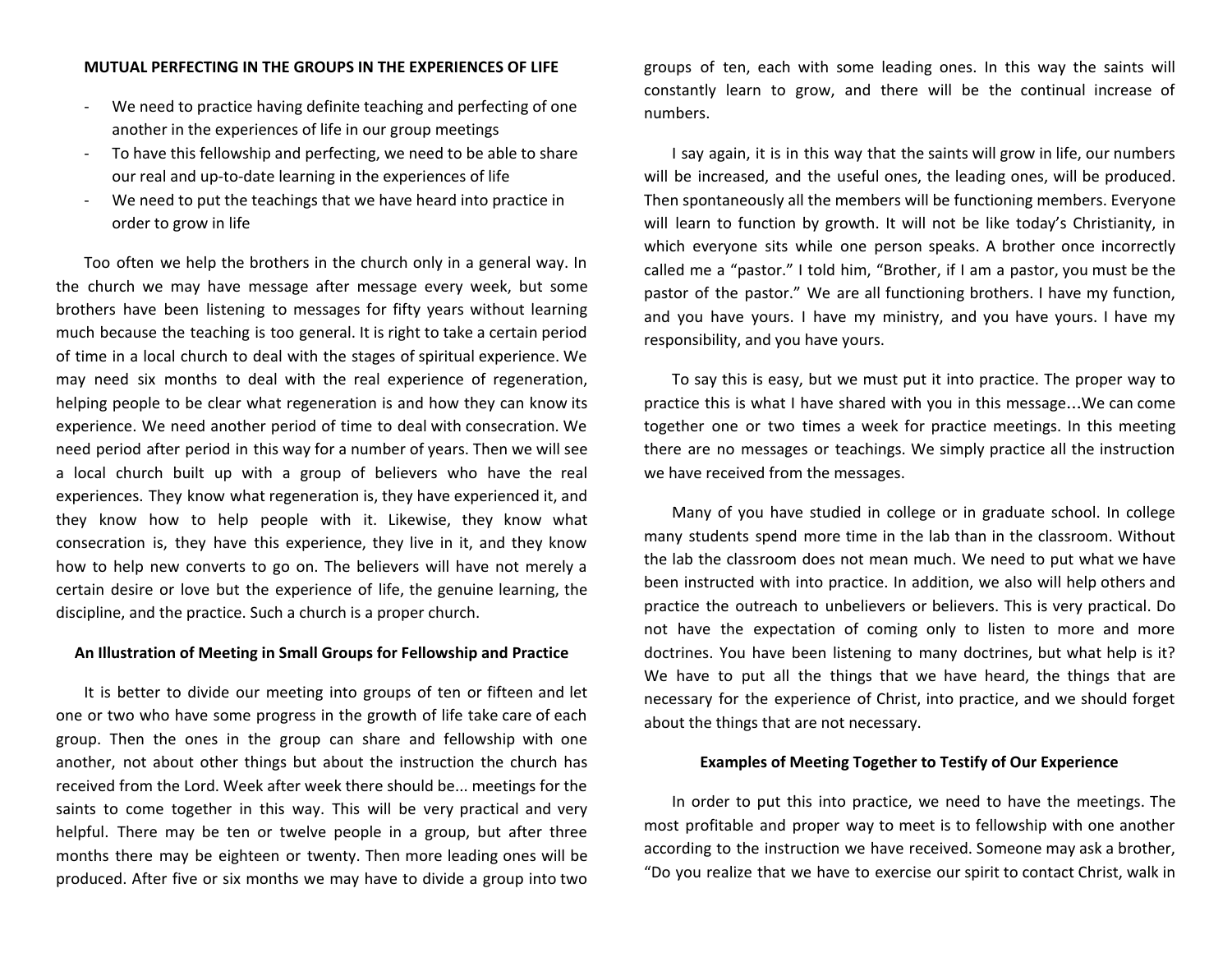## **MUTUAL PERFECTING IN THE GROUPS IN THE EXPERIENCES OF LIFE**

- We need to practice having definite teaching and perfecting of one another in the experiences of life in our group meetings
- To have this fellowship and perfecting, we need to be able to share our real and up-to-date learning in the experiences of life
- We need to put the teachings that we have heard into practice in order to grow in life

Too often we help the brothers in the church only in a general way. In the church we may have message after message every week, but some brothers have been listening to messages for fifty years without learning much because the teaching is too general. It is right to take a certain period of time in a local church to deal with the stages of spiritual experience. We may need six months to deal with the real experience of regeneration, helping people to be clear what regeneration is and how they can know its experience. We need another period of time to deal with consecration. We need period after period in this way for a number of years. Then we will see a local church built up with a group of believers who have the real experiences. They know what regeneration is, they have experienced it, and they know how to help people with it. Likewise, they know what consecration is, they have this experience, they live in it, and they know how to help new converts to go on. The believers will have not merely a certain desire or love but the experience of life, the genuine learning, the discipline, and the practice. Such a church is a proper church.

## **An Illustration of Meeting in Small Groups for Fellowship and Practice**

It is better to divide our meeting into groups of ten or fifteen and let one or two who have some progress in the growth of life take care of each group. Then the ones in the group can share and fellowship with one another, not about other things but about the instruction the church has received from the Lord. Week after week there should be... meetings for the saints to come together in this way. This will be very practical and very helpful. There may be ten or twelve people in a group, but after three months there may be eighteen or twenty. Then more leading ones will be produced. After five or six months we may have to divide a group into two

groups of ten, each with some leading ones. In this way the saints will constantly learn to grow, and there will be the continual increase of numbers.

I say again, it is in this way that the saints will grow in life, our numbers will be increased, and the useful ones, the leading ones, will be produced. Then spontaneously all the members will be functioning members. Everyone will learn to function by growth. It will not be like today's Christianity, in which everyone sits while one person speaks. A brother once incorrectly called me a "pastor." I told him, "Brother, if I am a pastor, you must be the pastor of the pastor." We are all functioning brothers. I have my function, and you have yours. I have my ministry, and you have yours. I have my responsibility, and you have yours.

To say this is easy, but we must put it into practice. The proper way to practice this is what I have shared with you in this message…We can come together one or two times a week for practice meetings. In this meeting there are no messages or teachings. We simply practice all the instruction we have received from the messages.

Many of you have studied in college or in graduate school. In college many students spend more time in the lab than in the classroom. Without the lab the classroom does not mean much. We need to put what we have been instructed with into practice. In addition, we also will help others and practice the outreach to unbelievers or believers. This is very practical. Do not have the expectation of coming only to listen to more and more doctrines. You have been listening to many doctrines, but what help is it? We have to put all the things that we have heard, the things that are necessary for the experience of Christ, into practice, and we should forget about the things that are not necessary.

## **Examples of Meeting Together to Testify of Our Experience**

In order to put this into practice, we need to have the meetings. The most profitable and proper way to meet is to fellowship with one another according to the instruction we have received. Someone may ask a brother, "Do you realize that we have to exercise our spirit to contact Christ, walk in